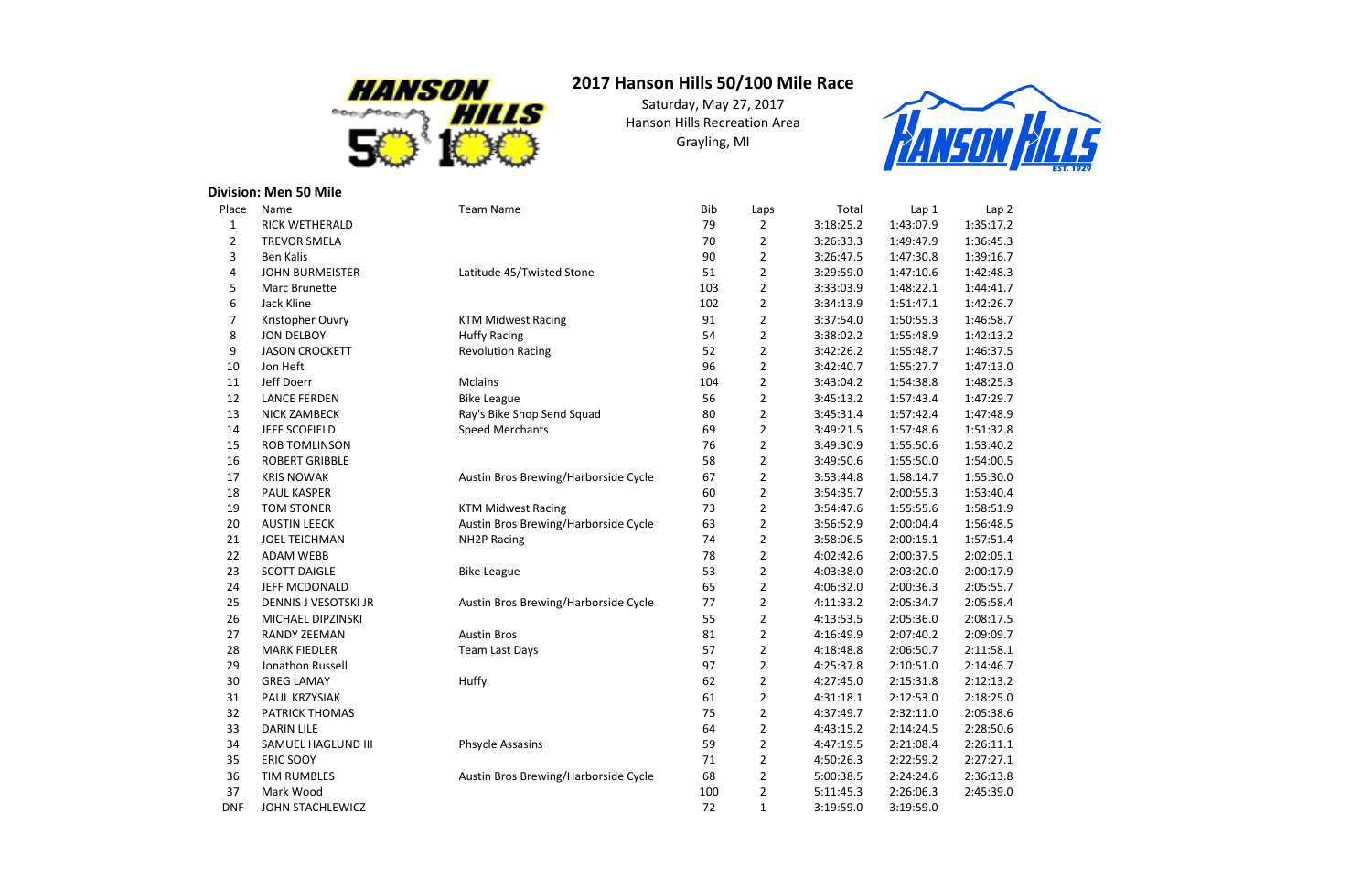## **Division: Men 50 Mile**

| Place          | Name                   | <b>Team Name</b>                     | <b>Bib</b> | Laps           | Total     | Lap 1     | Lap <sub>2</sub> |
|----------------|------------------------|--------------------------------------|------------|----------------|-----------|-----------|------------------|
| $\mathbf{1}$   | RICK WETHERALD         |                                      | 79         | $\overline{2}$ | 3:18:25.2 | 1:43:07.9 | 1:35:17.2        |
| $\overline{2}$ | <b>TREVOR SMELA</b>    |                                      | 70         | $\overline{2}$ | 3:26:33.3 | 1:49:47.9 | 1:36:45.3        |
| 3              | <b>Ben Kalis</b>       |                                      | 90         | $\overline{2}$ | 3:26:47.5 | 1:47:30.8 | 1:39:16.7        |
| 4              | <b>JOHN BURMEISTER</b> | Latitude 45/Twisted Stone            | 51         | $\overline{2}$ | 3:29:59.0 | 1:47:10.6 | 1:42:48.3        |
| 5              | Marc Brunette          |                                      | 103        | $\overline{2}$ | 3:33:03.9 | 1:48:22.1 | 1:44:41.7        |
| 6              | Jack Kline             |                                      | 102        | $\overline{2}$ | 3:34:13.9 | 1:51:47.1 | 1:42:26.7        |
| 7              | Kristopher Ouvry       | <b>KTM Midwest Racing</b>            | 91         | $\overline{2}$ | 3:37:54.0 | 1:50:55.3 | 1:46:58.7        |
| 8              | <b>JON DELBOY</b>      | <b>Huffy Racing</b>                  | 54         | $\overline{2}$ | 3:38:02.2 | 1:55:48.9 | 1:42:13.2        |
| 9              | <b>JASON CROCKETT</b>  | <b>Revolution Racing</b>             | 52         | $\overline{2}$ | 3:42:26.2 | 1:55:48.7 | 1:46:37.5        |
| 10             | Jon Heft               |                                      | 96         | $\overline{2}$ | 3:42:40.7 | 1:55:27.7 | 1:47:13.0        |
| 11             | Jeff Doerr             | <b>Mclains</b>                       | 104        | $\overline{2}$ | 3:43:04.2 | 1:54:38.8 | 1:48:25.3        |
| 12             | <b>LANCE FERDEN</b>    | <b>Bike League</b>                   | 56         | $\overline{2}$ | 3:45:13.2 | 1:57:43.4 | 1:47:29.7        |
| 13             | NICK ZAMBECK           | Ray's Bike Shop Send Squad           | 80         | $\overline{2}$ | 3:45:31.4 | 1:57:42.4 | 1:47:48.9        |
| 14             | <b>JEFF SCOFIELD</b>   | <b>Speed Merchants</b>               | 69         | $\overline{2}$ | 3:49:21.5 | 1:57:48.6 | 1:51:32.8        |
| 15             | <b>ROB TOMLINSON</b>   |                                      | 76         | $\overline{2}$ | 3:49:30.9 | 1:55:50.6 | 1:53:40.2        |
| 16             | <b>ROBERT GRIBBLE</b>  |                                      | 58         | $\overline{2}$ | 3:49:50.6 | 1:55:50.0 | 1:54:00.5        |
| 17             | <b>KRIS NOWAK</b>      | Austin Bros Brewing/Harborside Cycle | 67         | $\overline{2}$ | 3:53:44.8 | 1:58:14.7 | 1:55:30.0        |
| 18             | PAUL KASPER            |                                      | 60         | $\overline{2}$ | 3:54:35.7 | 2:00:55.3 | 1:53:40.4        |
| 19             | <b>TOM STONER</b>      | <b>KTM Midwest Racing</b>            | 73         | $\overline{2}$ | 3:54:47.6 | 1:55:55.6 | 1:58:51.9        |
| 20             | <b>AUSTIN LEECK</b>    | Austin Bros Brewing/Harborside Cycle | 63         | $\overline{2}$ | 3:56:52.9 | 2:00:04.4 | 1:56:48.5        |
| 21             | <b>JOEL TEICHMAN</b>   | <b>NH2P Racing</b>                   | 74         | $\overline{2}$ | 3:58:06.5 | 2:00:15.1 | 1:57:51.4        |
| 22             | <b>ADAM WEBB</b>       |                                      | 78         | $\overline{2}$ | 4:02:42.6 | 2:00:37.5 | 2:02:05.1        |
| 23             | <b>SCOTT DAIGLE</b>    | <b>Bike League</b>                   | 53         | $\overline{2}$ | 4:03:38.0 | 2:03:20.0 | 2:00:17.9        |
| 24             | JEFF MCDONALD          |                                      | 65         | $\overline{2}$ | 4:06:32.0 | 2:00:36.3 | 2:05:55.7        |
| 25             | DENNIS J VESOTSKI JR   | Austin Bros Brewing/Harborside Cycle | 77         | $\overline{2}$ | 4:11:33.2 | 2:05:34.7 | 2:05:58.4        |
| 26             | MICHAEL DIPZINSKI      |                                      | 55         | $\overline{2}$ | 4:13:53.5 | 2:05:36.0 | 2:08:17.5        |
| 27             | <b>RANDY ZEEMAN</b>    | <b>Austin Bros</b>                   | 81         | $\overline{2}$ | 4:16:49.9 | 2:07:40.2 | 2:09:09.7        |
| 28             | <b>MARK FIEDLER</b>    | Team Last Days                       | 57         | $\overline{2}$ | 4:18:48.8 | 2:06:50.7 | 2:11:58.1        |
| 29             | Jonathon Russell       |                                      | 97         | $\overline{2}$ | 4:25:37.8 | 2:10:51.0 | 2:14:46.7        |
| 30             | <b>GREG LAMAY</b>      | Huffy                                | 62         | $\overline{2}$ | 4:27:45.0 | 2:15:31.8 | 2:12:13.2        |
| 31             | PAUL KRZYSIAK          |                                      | 61         | 2              | 4:31:18.1 | 2:12:53.0 | 2:18:25.0        |
| 32             | <b>PATRICK THOMAS</b>  |                                      | 75         | 2              | 4:37:49.7 | 2:32:11.0 | 2:05:38.6        |
| 33             | <b>DARIN LILE</b>      |                                      | 64         | 2              | 4:43:15.2 | 2:14:24.5 | 2:28:50.6        |
| 34             | SAMUEL HAGLUND III     | <b>Phsycle Assasins</b>              | 59         | 2              | 4:47:19.5 | 2:21:08.4 | 2:26:11.1        |
| 35             | <b>ERIC SOOY</b>       |                                      | 71         | 2              | 4:50:26.3 | 2:22:59.2 | 2:27:27.1        |
| 36             | <b>TIM RUMBLES</b>     | Austin Bros Brewing/Harborside Cycle | 68         | 2              | 5:00:38.5 | 2:24:24.6 | 2:36:13.8        |
| 37             | Mark Wood              |                                      | 100        | 2              | 5:11:45.3 | 2:26:06.3 | 2:45:39.0        |
| <b>DNF</b>     | JOHN STACHLEWICZ       |                                      | 72         | 1              | 3:19:59.0 | 3:19:59.0 |                  |
|                |                        |                                      |            |                |           |           |                  |

- 
- 
- 
- 
- 
- 
- 
- 
- 
- 
- 
- 
- 
- 
- 
- 
- 
- 
- 
- 



## **2017 Hanson Hills 50/100 Mile Race**

Saturday, May 27, 2017 Hanson Hills Recreation AreaGrayling, MI